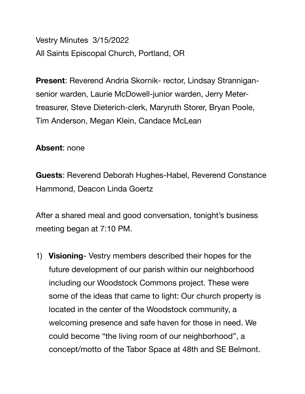Vestry Minutes 3/15/2022 All Saints Episcopal Church, Portland, OR

**Present**: Reverend Andria Skornik- rector, Lindsay Strannigansenior warden, Laurie McDowell-junior warden, Jerry Metertreasurer, Steve Dieterich-clerk, Maryruth Storer, Bryan Poole, Tim Anderson, Megan Klein, Candace McLean

## **Absent**: none

**Guests**: Reverend Deborah Hughes-Habel, Reverend Constance Hammond, Deacon Linda Goertz

After a shared meal and good conversation, tonight's business meeting began at 7:10 PM.

1) **Visioning**- Vestry members described their hopes for the future development of our parish within our neighborhood including our Woodstock Commons project. These were some of the ideas that came to light: Our church property is located in the center of the Woodstock community, a welcoming presence and safe haven for those in need. We could become "the living room of our neighborhood", a concept/motto of the Tabor Space at 48th and SE Belmont.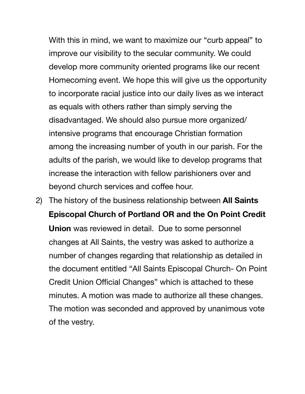With this in mind, we want to maximize our "curb appeal" to improve our visibility to the secular community. We could develop more community oriented programs like our recent Homecoming event. We hope this will give us the opportunity to incorporate racial justice into our daily lives as we interact as equals with others rather than simply serving the disadvantaged. We should also pursue more organized/ intensive programs that encourage Christian formation among the increasing number of youth in our parish. For the adults of the parish, we would like to develop programs that increase the interaction with fellow parishioners over and beyond church services and coffee hour.

2) The history of the business relationship between **All Saints Episcopal Church of Portland OR and the On Point Credit Union** was reviewed in detail. Due to some personnel changes at All Saints, the vestry was asked to authorize a number of changes regarding that relationship as detailed in the document entitled "All Saints Episcopal Church- On Point Credit Union Official Changes" which is attached to these minutes. A motion was made to authorize all these changes. The motion was seconded and approved by unanimous vote of the vestry.